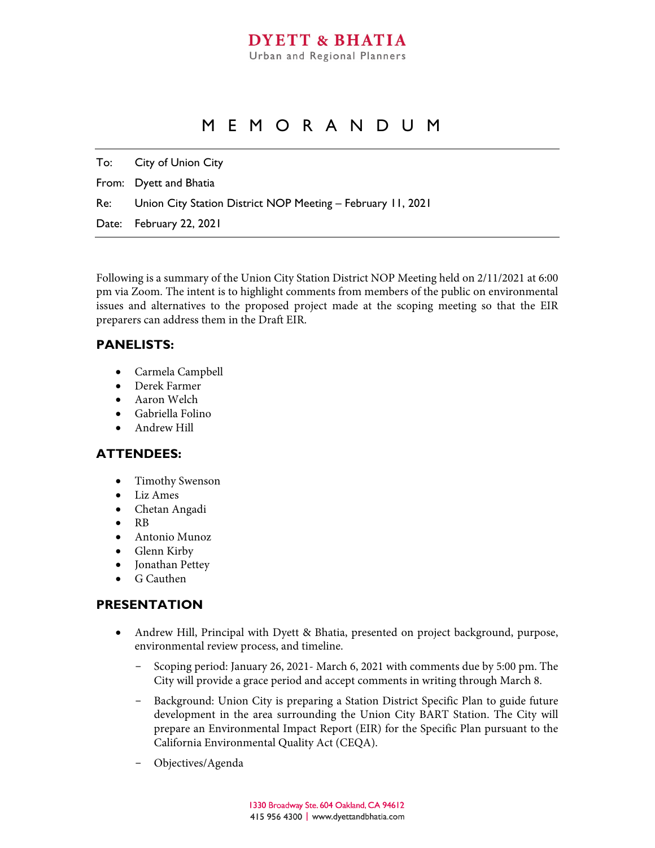## MEMORANDUM

To: City of Union City

From: Dyett and Bhatia

Re: Union City Station District NOP Meeting – February 11, 2021

Date: February 22, 2021

Following is a summary of the Union City Station District NOP Meeting held on 2/11/2021 at 6:00 pm via Zoom. The intent is to highlight comments from members of the public on environmental issues and alternatives to the proposed project made at the scoping meeting so that the EIR preparers can address them in the Draft EIR.

### **PANELISTS:**

- Carmela Campbell
- Derek Farmer
- Aaron Welch
- Gabriella Folino
- Andrew Hill

### **ATTENDEES:**

- Timothy Swenson
- Liz Ames
- Chetan Angadi
- RB
- Antonio Munoz
- Glenn Kirby
- Jonathan Pettey
- G Cauthen

### **PRESENTATION**

- Andrew Hill, Principal with Dyett & Bhatia, presented on project background, purpose, environmental review process, and timeline.
	- Scoping period: January 26, 2021 March 6, 2021 with comments due by 5:00 pm. The City will provide a grace period and accept comments in writing through March 8.
	- Background: Union City is preparing a Station District Specific Plan to guide future development in the area surrounding the Union City BART Station. The City will prepare an Environmental Impact Report (EIR) for the Specific Plan pursuant to the California Environmental Quality Act (CEQA).
	- Objectives/Agenda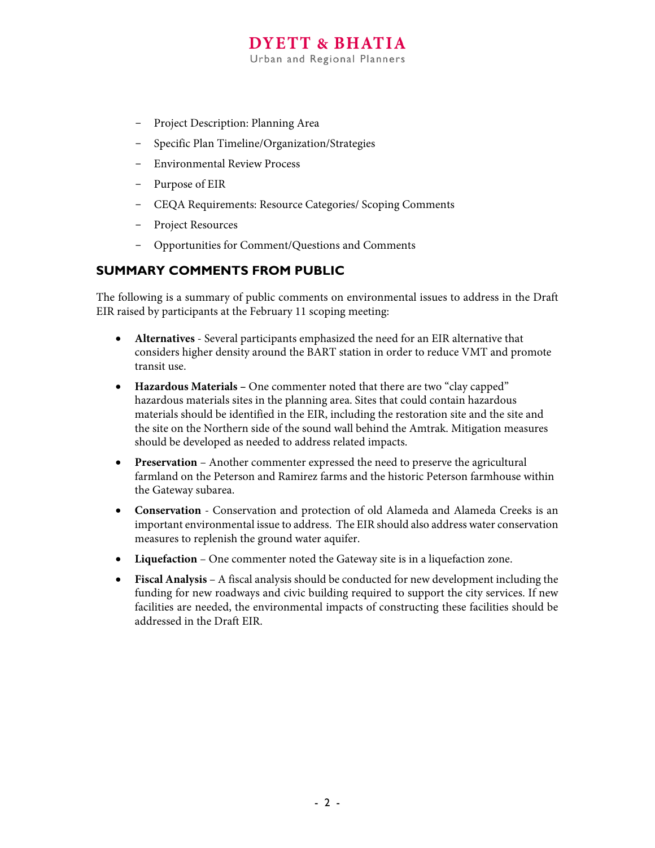# **DYETT & BHATIA**

Urban and Regional Planners

- Project Description: Planning Area
- Specific Plan Timeline/Organization/Strategies
- Environmental Review Process
- Purpose of EIR
- CEQA Requirements: Resource Categories/ Scoping Comments
- Project Resources
- Opportunities for Comment/Questions and Comments

### **SUMMARY COMMENTS FROM PUBLIC**

The following is a summary of public comments on environmental issues to address in the Draft EIR raised by participants at the February 11 scoping meeting:

- **Alternatives**  Several participants emphasized the need for an EIR alternative that considers higher density around the BART station in order to reduce VMT and promote transit use.
- **Hazardous Materials –** One commenter noted that there are two "clay capped" hazardous materials sites in the planning area. Sites that could contain hazardous materials should be identified in the EIR, including the restoration site and the site and the site on the Northern side of the sound wall behind the Amtrak. Mitigation measures should be developed as needed to address related impacts.
- **Preservation** Another commenter expressed the need to preserve the agricultural farmland on the Peterson and Ramirez farms and the historic Peterson farmhouse within the Gateway subarea.
- **Conservation** Conservation and protection of old Alameda and Alameda Creeks is an important environmental issue to address. The EIR should also address water conservation measures to replenish the ground water aquifer.
- **Liquefaction**  One commenter noted the Gateway site is in a liquefaction zone.
- **Fiscal Analysis** A fiscal analysis should be conducted for new development including the funding for new roadways and civic building required to support the city services. If new facilities are needed, the environmental impacts of constructing these facilities should be addressed in the Draft EIR.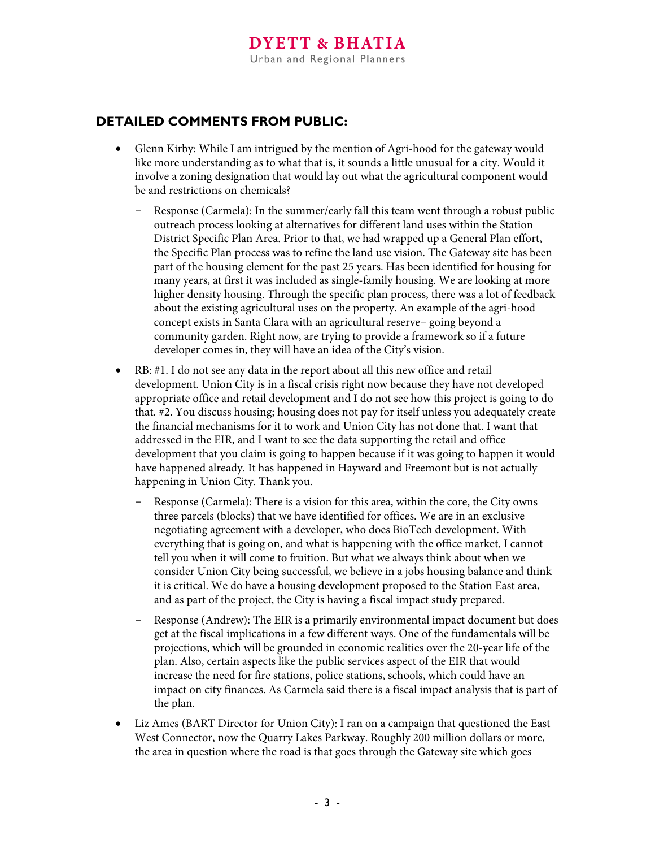## **DETAILED COMMENTS FROM PUBLIC:**

- Glenn Kirby: While I am intrigued by the mention of Agri-hood for the gateway would like more understanding as to what that is, it sounds a little unusual for a city. Would it involve a zoning designation that would lay out what the agricultural component would be and restrictions on chemicals?
	- Response (Carmela): In the summer/early fall this team went through a robust public outreach process looking at alternatives for different land uses within the Station District Specific Plan Area. Prior to that, we had wrapped up a General Plan effort, the Specific Plan process was to refine the land use vision. The Gateway site has been part of the housing element for the past 25 years. Has been identified for housing for many years, at first it was included as single-family housing. We are looking at more higher density housing. Through the specific plan process, there was a lot of feedback about the existing agricultural uses on the property. An example of the agri-hood concept exists in Santa Clara with an agricultural reserve– going beyond a community garden. Right now, are trying to provide a framework so if a future developer comes in, they will have an idea of the City's vision.
- RB: #1. I do not see any data in the report about all this new office and retail development. Union City is in a fiscal crisis right now because they have not developed appropriate office and retail development and I do not see how this project is going to do that. #2. You discuss housing; housing does not pay for itself unless you adequately create the financial mechanisms for it to work and Union City has not done that. I want that addressed in the EIR, and I want to see the data supporting the retail and office development that you claim is going to happen because if it was going to happen it would have happened already. It has happened in Hayward and Freemont but is not actually happening in Union City. Thank you.
	- Response (Carmela): There is a vision for this area, within the core, the City owns three parcels (blocks) that we have identified for offices. We are in an exclusive negotiating agreement with a developer, who does BioTech development. With everything that is going on, and what is happening with the office market, I cannot tell you when it will come to fruition. But what we always think about when we consider Union City being successful, we believe in a jobs housing balance and think it is critical. We do have a housing development proposed to the Station East area, and as part of the project, the City is having a fiscal impact study prepared.
	- Response (Andrew): The EIR is a primarily environmental impact document but does get at the fiscal implications in a few different ways. One of the fundamentals will be projections, which will be grounded in economic realities over the 20-year life of the plan. Also, certain aspects like the public services aspect of the EIR that would increase the need for fire stations, police stations, schools, which could have an impact on city finances. As Carmela said there is a fiscal impact analysis that is part of the plan.
- Liz Ames (BART Director for Union City): I ran on a campaign that questioned the East West Connector, now the Quarry Lakes Parkway. Roughly 200 million dollars or more, the area in question where the road is that goes through the Gateway site which goes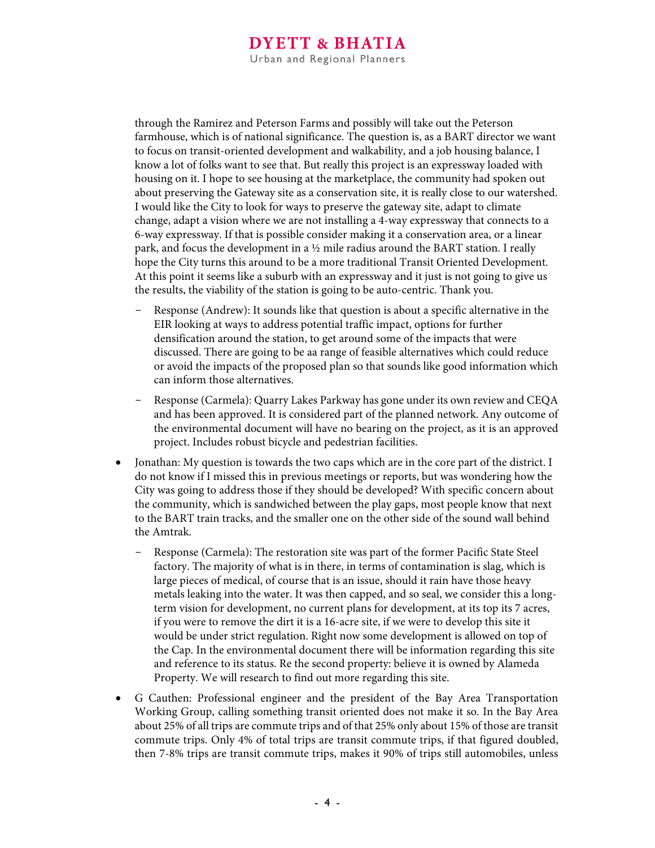through the Ramirez and Peterson Farms and possibly will take out the Peterson farmhouse, which is of national significance. The question is, as a BART director we want to focus on transit-oriented development and walkability, and a job housing balance, I know a lot of folks want to see that. But really this project is an expressway loaded with housing on it. I hope to see housing at the marketplace, the community had spoken out about preserving the Gateway site as a conservation site, it is really close to our watershed. I would like the City to look for ways to preserve the gateway site, adapt to climate change, adapt a vision where we are not installing a 4-way expressway that connects to a 6-way expressway. If that is possible consider making it a conservation area, or a linear park, and focus the development in a ½ mile radius around the BART station. I really hope the City turns this around to be a more traditional Transit Oriented Development. At this point it seems like a suburb with an expressway and it just is not going to give us the results, the viability of the station is going to be auto-centric. Thank you.

- Response (Andrew): It sounds like that question is about a specific alternative in the EIR looking at ways to address potential traffic impact, options for further densification around the station, to get around some of the impacts that were discussed. There are going to be aa range of feasible alternatives which could reduce or avoid the impacts of the proposed plan so that sounds like good information which can inform those alternatives.
- Response (Carmela): Quarry Lakes Parkway has gone under its own review and CEQA and has been approved. It is considered part of the planned network. Any outcome of the environmental document will have no bearing on the project, as it is an approved project. Includes robust bicycle and pedestrian facilities.
- Jonathan: My question is towards the two caps which are in the core part of the district. I do not know if I missed this in previous meetings or reports, but was wondering how the City was going to address those if they should be developed? With specific concern about the community, which is sandwiched between the play gaps, most people know that next to the BART train tracks, and the smaller one on the other side of the sound wall behind the Amtrak.
	- Response (Carmela): The restoration site was part of the former Pacific State Steel factory. The majority of what is in there, in terms of contamination is slag, which is large pieces of medical, of course that is an issue, should it rain have those heavy metals leaking into the water. It was then capped, and so seal, we consider this a longterm vision for development, no current plans for development, at its top its 7 acres, if you were to remove the dirt it is a 16-acre site, if we were to develop this site it would be under strict regulation. Right now some development is allowed on top of the Cap. In the environmental document there will be information regarding this site and reference to its status. Re the second property: believe it is owned by Alameda Property. We will research to find out more regarding this site.
- G Cauthen: Professional engineer and the president of the Bay Area Transportation Working Group, calling something transit oriented does not make it so. In the Bay Area about 25% of all trips are commute trips and of that 25% only about 15% of those are transit commute trips. Only 4% of total trips are transit commute trips, if that figured doubled, then 7-8% trips are transit commute trips, makes it 90% of trips still automobiles, unless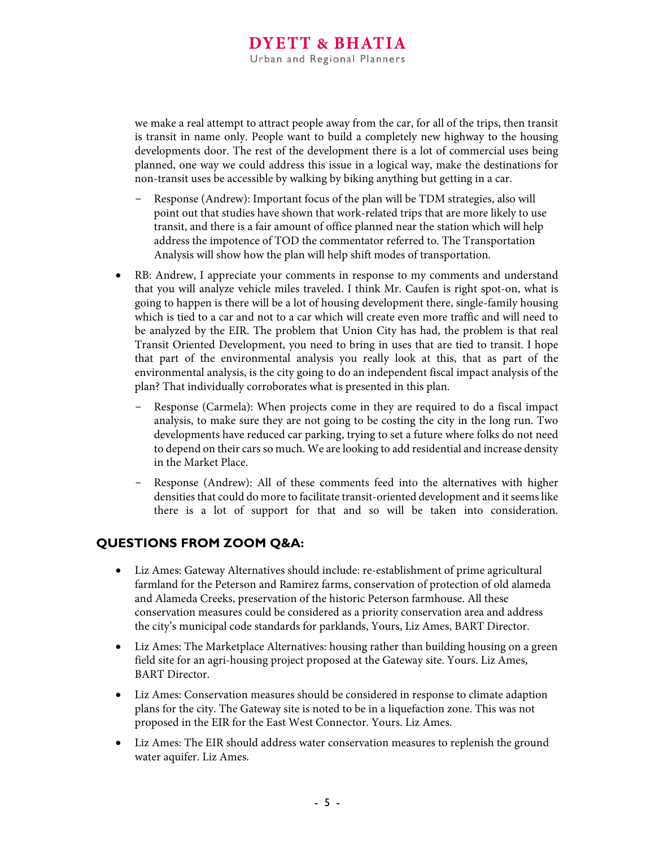we make a real attempt to attract people away from the car, for all of the trips, then transit is transit in name only. People want to build a completely new highway to the housing developments door. The rest of the development there is a lot of commercial uses being planned, one way we could address this issue in a logical way, make the destinations for non-transit uses be accessible by walking by biking anything but getting in a car.

- Response (Andrew): Important focus of the plan will be TDM strategies, also will point out that studies have shown that work-related trips that are more likely to use transit, and there is a fair amount of office planned near the station which will help address the impotence of TOD the commentator referred to. The Transportation Analysis will show how the plan will help shift modes of transportation.
- RB: Andrew, I appreciate your comments in response to my comments and understand that you will analyze vehicle miles traveled. I think Mr. Caufen is right spot-on, what is going to happen is there will be a lot of housing development there, single-family housing which is tied to a car and not to a car which will create even more traffic and will need to be analyzed by the EIR. The problem that Union City has had, the problem is that real Transit Oriented Development, you need to bring in uses that are tied to transit. I hope that part of the environmental analysis you really look at this, that as part of the environmental analysis, is the city going to do an independent fiscal impact analysis of the plan? That individually corroborates what is presented in this plan.
	- Response (Carmela): When projects come in they are required to do a fiscal impact analysis, to make sure they are not going to be costing the city in the long run. Two developments have reduced car parking, trying to set a future where folks do not need to depend on their cars so much. We are looking to add residential and increase density in the Market Place.
	- Response (Andrew): All of these comments feed into the alternatives with higher densities that could do more to facilitate transit-oriented development and it seems like there is a lot of support for that and so will be taken into consideration.

## **QUESTIONS FROM ZOOM Q&A:**

- Liz Ames: Gateway Alternatives should include: re-establishment of prime agricultural farmland for the Peterson and Ramirez farms, conservation of protection of old alameda and Alameda Creeks, preservation of the historic Peterson farmhouse. All these conservation measures could be considered as a priority conservation area and address the city's municipal code standards for parklands, Yours, Liz Ames, BART Director.
- Liz Ames: The Marketplace Alternatives: housing rather than building housing on a green field site for an agri-housing project proposed at the Gateway site. Yours. Liz Ames, BART Director.
- Liz Ames: Conservation measures should be considered in response to climate adaption plans for the city. The Gateway site is noted to be in a liquefaction zone. This was not proposed in the EIR for the East West Connector. Yours. Liz Ames.
- Liz Ames: The EIR should address water conservation measures to replenish the ground water aquifer. Liz Ames.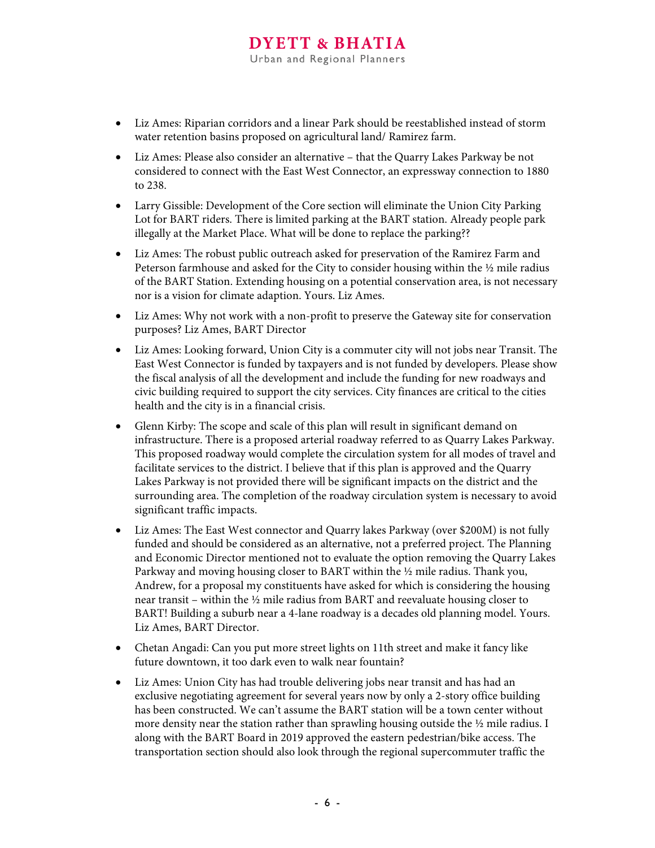- Liz Ames: Riparian corridors and a linear Park should be reestablished instead of storm water retention basins proposed on agricultural land/ Ramirez farm.
- Liz Ames: Please also consider an alternative that the Quarry Lakes Parkway be not considered to connect with the East West Connector, an expressway connection to 1880 to 238.
- Larry Gissible: Development of the Core section will eliminate the Union City Parking Lot for BART riders. There is limited parking at the BART station. Already people park illegally at the Market Place. What will be done to replace the parking??
- Liz Ames: The robust public outreach asked for preservation of the Ramirez Farm and Peterson farmhouse and asked for the City to consider housing within the ½ mile radius of the BART Station. Extending housing on a potential conservation area, is not necessary nor is a vision for climate adaption. Yours. Liz Ames.
- Liz Ames: Why not work with a non-profit to preserve the Gateway site for conservation purposes? Liz Ames, BART Director
- Liz Ames: Looking forward, Union City is a commuter city will not jobs near Transit. The East West Connector is funded by taxpayers and is not funded by developers. Please show the fiscal analysis of all the development and include the funding for new roadways and civic building required to support the city services. City finances are critical to the cities health and the city is in a financial crisis.
- Glenn Kirby: The scope and scale of this plan will result in significant demand on infrastructure. There is a proposed arterial roadway referred to as Quarry Lakes Parkway. This proposed roadway would complete the circulation system for all modes of travel and facilitate services to the district. I believe that if this plan is approved and the Quarry Lakes Parkway is not provided there will be significant impacts on the district and the surrounding area. The completion of the roadway circulation system is necessary to avoid significant traffic impacts.
- Liz Ames: The East West connector and Quarry lakes Parkway (over \$200M) is not fully funded and should be considered as an alternative, not a preferred project. The Planning and Economic Director mentioned not to evaluate the option removing the Quarry Lakes Parkway and moving housing closer to BART within the ½ mile radius. Thank you, Andrew, for a proposal my constituents have asked for which is considering the housing near transit – within the ½ mile radius from BART and reevaluate housing closer to BART! Building a suburb near a 4-lane roadway is a decades old planning model. Yours. Liz Ames, BART Director.
- Chetan Angadi: Can you put more street lights on 11th street and make it fancy like future downtown, it too dark even to walk near fountain?
- Liz Ames: Union City has had trouble delivering jobs near transit and has had an exclusive negotiating agreement for several years now by only a 2-story office building has been constructed. We can't assume the BART station will be a town center without more density near the station rather than sprawling housing outside the 1/2 mile radius. I along with the BART Board in 2019 approved the eastern pedestrian/bike access. The transportation section should also look through the regional supercommuter traffic the